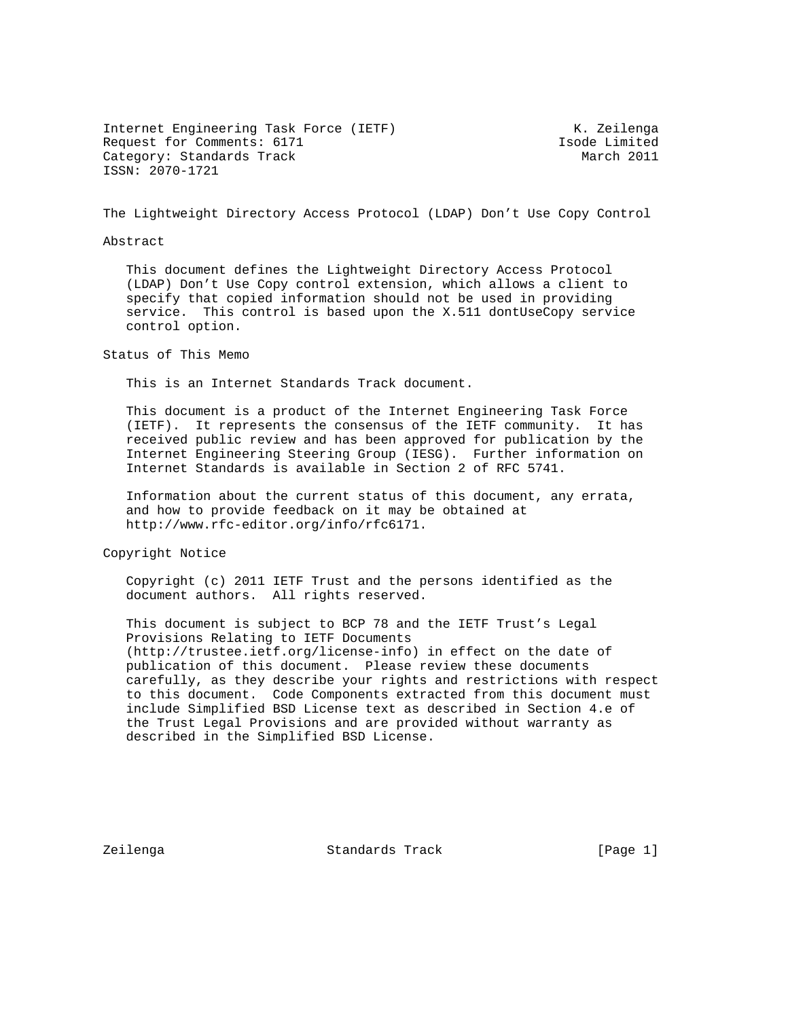Internet Engineering Task Force (IETF) The Manuscript Contract Contract Contract Contract Contract Contract Co Request for Comments: 6171 1sode Limited Category: Standards Track March 2011 ISSN: 2070-1721

The Lightweight Directory Access Protocol (LDAP) Don't Use Copy Control

## Abstract

 This document defines the Lightweight Directory Access Protocol (LDAP) Don't Use Copy control extension, which allows a client to specify that copied information should not be used in providing service. This control is based upon the X.511 dontUseCopy service control option.

Status of This Memo

This is an Internet Standards Track document.

 This document is a product of the Internet Engineering Task Force (IETF). It represents the consensus of the IETF community. It has received public review and has been approved for publication by the Internet Engineering Steering Group (IESG). Further information on Internet Standards is available in Section 2 of RFC 5741.

 Information about the current status of this document, any errata, and how to provide feedback on it may be obtained at http://www.rfc-editor.org/info/rfc6171.

Copyright Notice

 Copyright (c) 2011 IETF Trust and the persons identified as the document authors. All rights reserved.

 This document is subject to BCP 78 and the IETF Trust's Legal Provisions Relating to IETF Documents (http://trustee.ietf.org/license-info) in effect on the date of publication of this document. Please review these documents carefully, as they describe your rights and restrictions with respect to this document. Code Components extracted from this document must include Simplified BSD License text as described in Section 4.e of the Trust Legal Provisions and are provided without warranty as described in the Simplified BSD License.

Zeilenga Standards Track [Page 1]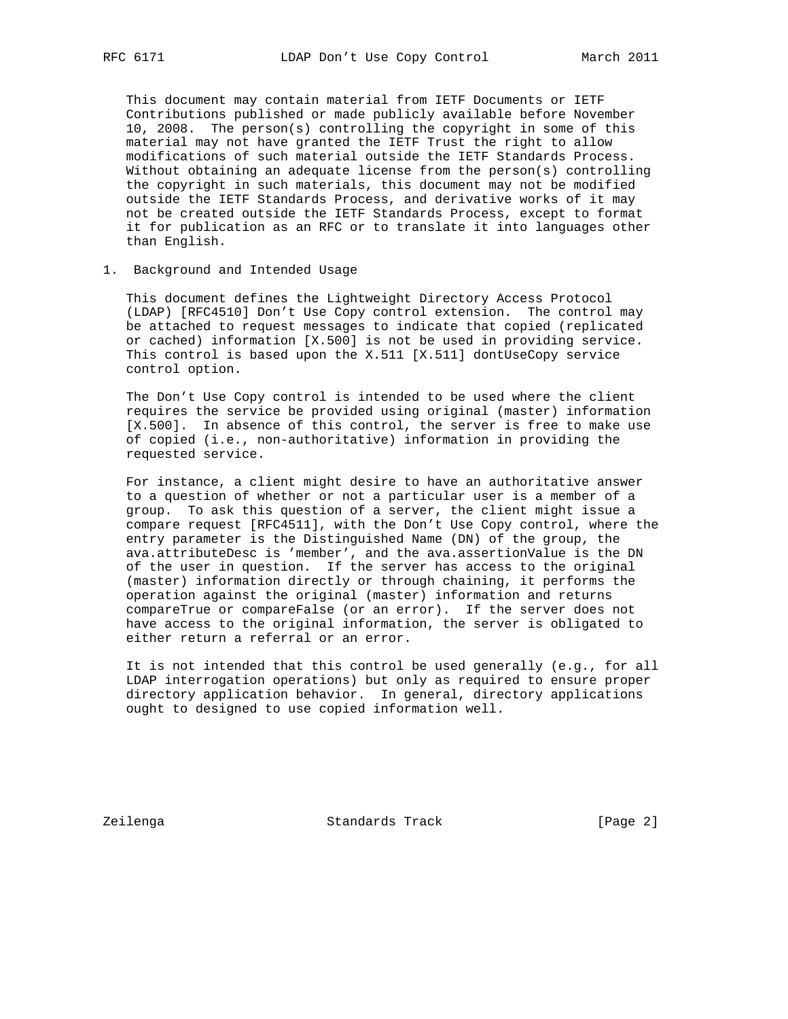This document may contain material from IETF Documents or IETF Contributions published or made publicly available before November 10, 2008. The person(s) controlling the copyright in some of this material may not have granted the IETF Trust the right to allow modifications of such material outside the IETF Standards Process. Without obtaining an adequate license from the person(s) controlling the copyright in such materials, this document may not be modified outside the IETF Standards Process, and derivative works of it may not be created outside the IETF Standards Process, except to format it for publication as an RFC or to translate it into languages other than English.

1. Background and Intended Usage

 This document defines the Lightweight Directory Access Protocol (LDAP) [RFC4510] Don't Use Copy control extension. The control may be attached to request messages to indicate that copied (replicated or cached) information [X.500] is not be used in providing service. This control is based upon the X.511 [X.511] dontUseCopy service control option.

 The Don't Use Copy control is intended to be used where the client requires the service be provided using original (master) information [X.500]. In absence of this control, the server is free to make use of copied (i.e., non-authoritative) information in providing the requested service.

 For instance, a client might desire to have an authoritative answer to a question of whether or not a particular user is a member of a group. To ask this question of a server, the client might issue a compare request [RFC4511], with the Don't Use Copy control, where the entry parameter is the Distinguished Name (DN) of the group, the ava.attributeDesc is 'member', and the ava.assertionValue is the DN of the user in question. If the server has access to the original (master) information directly or through chaining, it performs the operation against the original (master) information and returns compareTrue or compareFalse (or an error). If the server does not have access to the original information, the server is obligated to either return a referral or an error.

 It is not intended that this control be used generally (e.g., for all LDAP interrogation operations) but only as required to ensure proper directory application behavior. In general, directory applications ought to designed to use copied information well.

Zeilenga Standards Track [Page 2]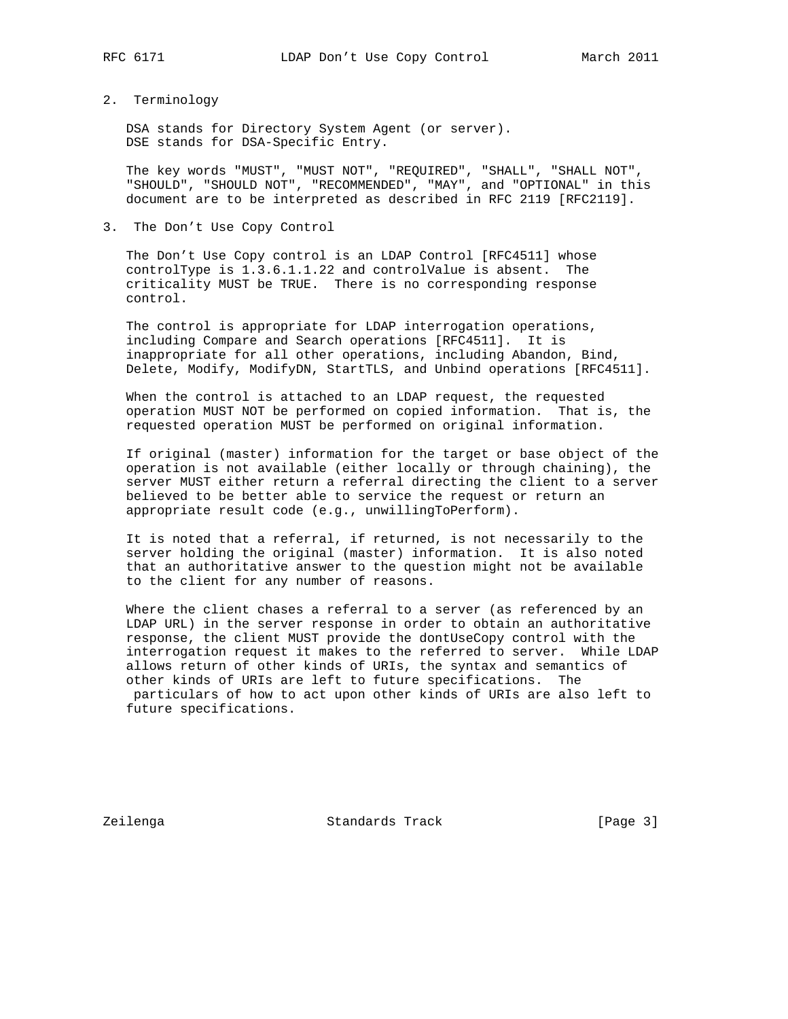## 2. Terminology

 DSA stands for Directory System Agent (or server). DSE stands for DSA-Specific Entry.

 The key words "MUST", "MUST NOT", "REQUIRED", "SHALL", "SHALL NOT", "SHOULD", "SHOULD NOT", "RECOMMENDED", "MAY", and "OPTIONAL" in this document are to be interpreted as described in RFC 2119 [RFC2119].

3. The Don't Use Copy Control

 The Don't Use Copy control is an LDAP Control [RFC4511] whose controlType is 1.3.6.1.1.22 and controlValue is absent. The criticality MUST be TRUE. There is no corresponding response control.

 The control is appropriate for LDAP interrogation operations, including Compare and Search operations [RFC4511]. It is inappropriate for all other operations, including Abandon, Bind, Delete, Modify, ModifyDN, StartTLS, and Unbind operations [RFC4511].

 When the control is attached to an LDAP request, the requested operation MUST NOT be performed on copied information. That is, the requested operation MUST be performed on original information.

 If original (master) information for the target or base object of the operation is not available (either locally or through chaining), the server MUST either return a referral directing the client to a server believed to be better able to service the request or return an appropriate result code (e.g., unwillingToPerform).

 It is noted that a referral, if returned, is not necessarily to the server holding the original (master) information. It is also noted that an authoritative answer to the question might not be available to the client for any number of reasons.

 Where the client chases a referral to a server (as referenced by an LDAP URL) in the server response in order to obtain an authoritative response, the client MUST provide the dontUseCopy control with the interrogation request it makes to the referred to server. While LDAP allows return of other kinds of URIs, the syntax and semantics of other kinds of URIs are left to future specifications. The particulars of how to act upon other kinds of URIs are also left to future specifications.

Zeilenga Standards Track [Page 3]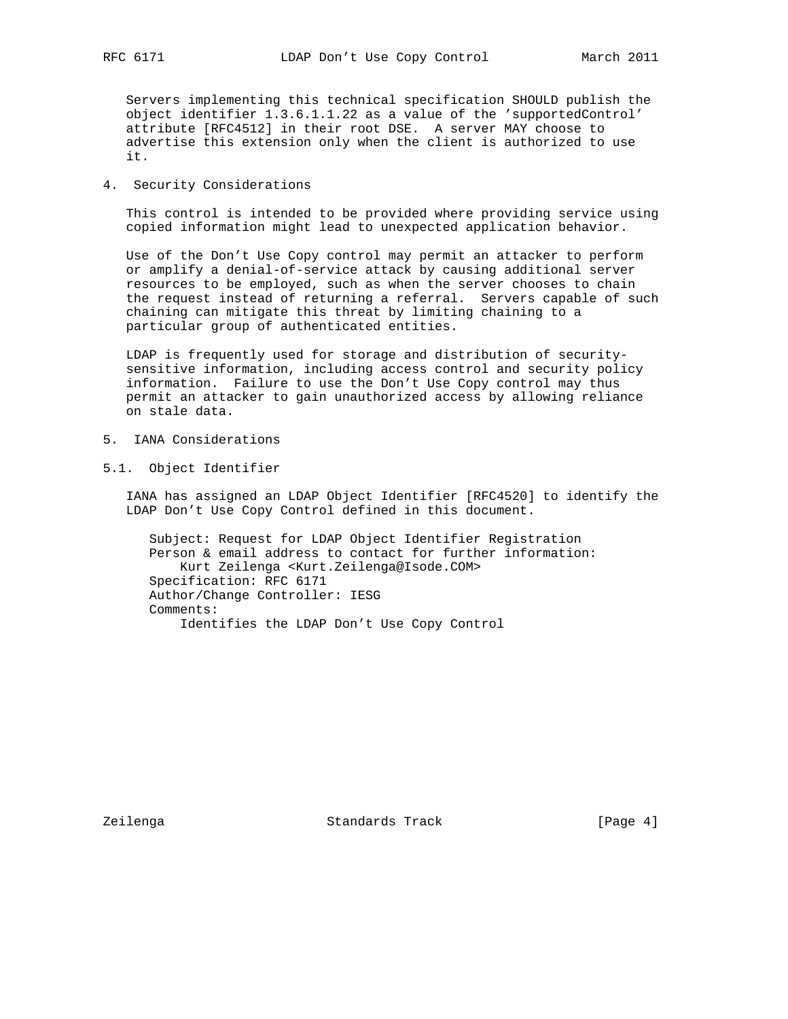Servers implementing this technical specification SHOULD publish the object identifier 1.3.6.1.1.22 as a value of the 'supportedControl' attribute [RFC4512] in their root DSE. A server MAY choose to advertise this extension only when the client is authorized to use it.

## 4. Security Considerations

 This control is intended to be provided where providing service using copied information might lead to unexpected application behavior.

 Use of the Don't Use Copy control may permit an attacker to perform or amplify a denial-of-service attack by causing additional server resources to be employed, such as when the server chooses to chain the request instead of returning a referral. Servers capable of such chaining can mitigate this threat by limiting chaining to a particular group of authenticated entities.

 LDAP is frequently used for storage and distribution of security sensitive information, including access control and security policy information. Failure to use the Don't Use Copy control may thus permit an attacker to gain unauthorized access by allowing reliance on stale data.

- 5. IANA Considerations
- 5.1. Object Identifier

 IANA has assigned an LDAP Object Identifier [RFC4520] to identify the LDAP Don't Use Copy Control defined in this document.

 Subject: Request for LDAP Object Identifier Registration Person & email address to contact for further information: Kurt Zeilenga <Kurt.Zeilenga@Isode.COM> Specification: RFC 6171 Author/Change Controller: IESG Comments: Identifies the LDAP Don't Use Copy Control

Zeilenga Standards Track [Page 4]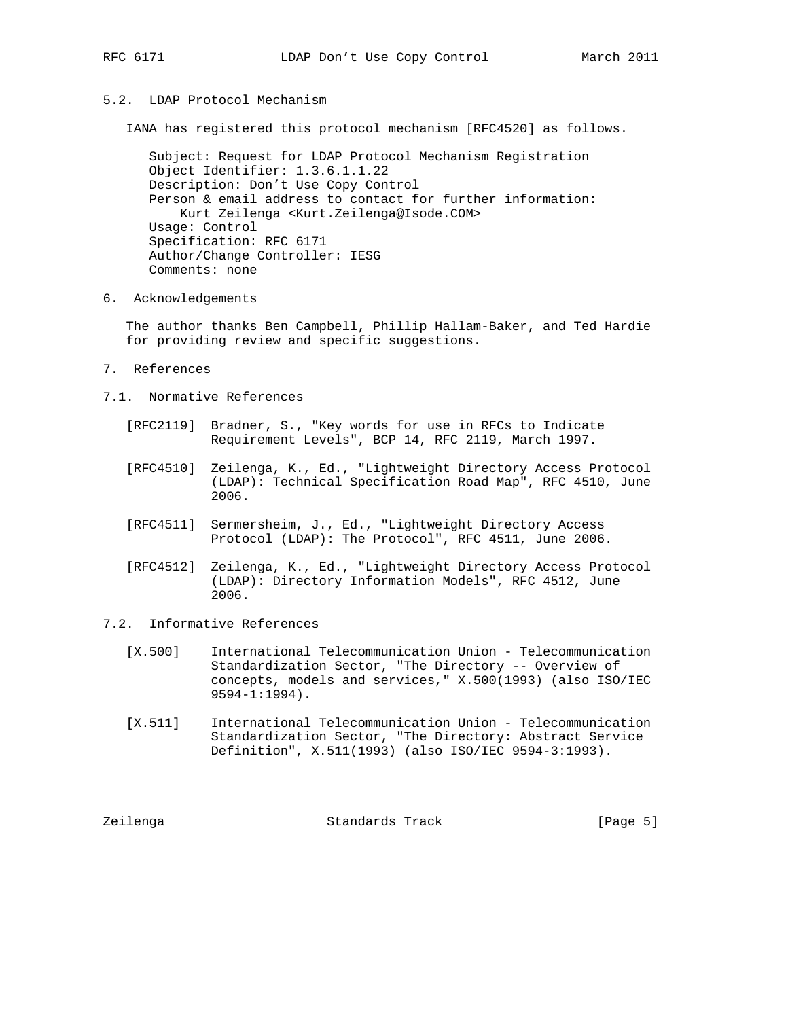## 5.2. LDAP Protocol Mechanism

IANA has registered this protocol mechanism [RFC4520] as follows.

 Subject: Request for LDAP Protocol Mechanism Registration Object Identifier: 1.3.6.1.1.22 Description: Don't Use Copy Control Person & email address to contact for further information: Kurt Zeilenga <Kurt.Zeilenga@Isode.COM> Usage: Control Specification: RFC 6171 Author/Change Controller: IESG Comments: none

6. Acknowledgements

 The author thanks Ben Campbell, Phillip Hallam-Baker, and Ted Hardie for providing review and specific suggestions.

- 7. References
- 7.1. Normative References
	- [RFC2119] Bradner, S., "Key words for use in RFCs to Indicate Requirement Levels", BCP 14, RFC 2119, March 1997.
	- [RFC4510] Zeilenga, K., Ed., "Lightweight Directory Access Protocol (LDAP): Technical Specification Road Map", RFC 4510, June 2006.
	- [RFC4511] Sermersheim, J., Ed., "Lightweight Directory Access Protocol (LDAP): The Protocol", RFC 4511, June 2006.
	- [RFC4512] Zeilenga, K., Ed., "Lightweight Directory Access Protocol (LDAP): Directory Information Models", RFC 4512, June 2006.
- 7.2. Informative References
	- [X.500] International Telecommunication Union Telecommunication Standardization Sector, "The Directory -- Overview of concepts, models and services," X.500(1993) (also ISO/IEC 9594-1:1994).
	- [X.511] International Telecommunication Union Telecommunication Standardization Sector, "The Directory: Abstract Service Definition", X.511(1993) (also ISO/IEC 9594-3:1993).

Zeilenga Standards Track [Page 5]